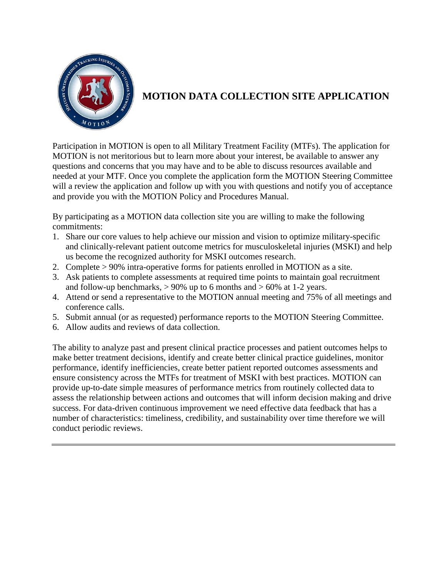

## **MOTION DATA COLLECTION SITE APPLICATION**

Participation in MOTION is open to all Military Treatment Facility (MTFs). The application for MOTION is not meritorious but to learn more about your interest, be available to answer any questions and concerns that you may have and to be able to discuss resources available and needed at your MTF. Once you complete the application form the MOTION Steering Committee will a review the application and follow up with you with questions and notify you of acceptance and provide you with the MOTION Policy and Procedures Manual.

By participating as a MOTION data collection site you are willing to make the following commitments:

- 1. Share our core values to help achieve our mission and vision to optimize military-specific and clinically-relevant patient outcome metrics for musculoskeletal injuries (MSKI) and help us become the recognized authority for MSKI outcomes research.
- 2. Complete > 90% intra-operative forms for patients enrolled in MOTION as a site.
- 3. Ask patients to complete assessments at required time points to maintain goal recruitment and follow-up benchmarks,  $> 90\%$  up to 6 months and  $> 60\%$  at 1-2 years.
- 4. Attend or send a representative to the MOTION annual meeting and 75% of all meetings and conference calls.
- 5. Submit annual (or as requested) performance reports to the MOTION Steering Committee.
- 6. Allow audits and reviews of data collection.

The ability to analyze past and present clinical practice processes and patient outcomes helps to make better treatment decisions, identify and create better clinical practice guidelines, monitor performance, identify inefficiencies, create better patient reported outcomes assessments and ensure consistency across the MTFs for treatment of MSKI with best practices. MOTION can provide up-to-date simple measures of performance metrics from routinely collected data to assess the relationship between actions and outcomes that will inform decision making and drive success. For data-driven continuous improvement we need effective data feedback that has a number of characteristics: timeliness, credibility, and sustainability over time therefore we will conduct periodic reviews.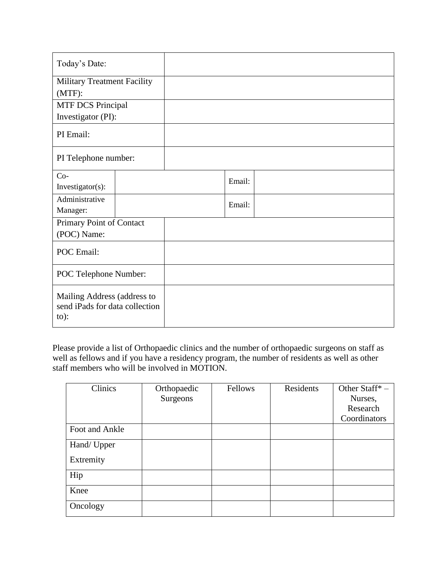| Today's Date:                                                            |  |  |        |  |
|--------------------------------------------------------------------------|--|--|--------|--|
| <b>Military Treatment Facility</b>                                       |  |  |        |  |
| $(MTF)$ :                                                                |  |  |        |  |
| <b>MTF DCS Principal</b>                                                 |  |  |        |  |
| Investigator (PI):                                                       |  |  |        |  |
| PI Email:                                                                |  |  |        |  |
| PI Telephone number:                                                     |  |  |        |  |
| $Co-$                                                                    |  |  | Email: |  |
| Investigator(s):                                                         |  |  |        |  |
| Administrative                                                           |  |  | Email: |  |
| Manager:                                                                 |  |  |        |  |
| Primary Point of Contact                                                 |  |  |        |  |
| (POC) Name:                                                              |  |  |        |  |
| POC Email:                                                               |  |  |        |  |
| POC Telephone Number:                                                    |  |  |        |  |
| Mailing Address (address to<br>send iPads for data collection<br>$to)$ : |  |  |        |  |

Please provide a list of Orthopaedic clinics and the number of orthopaedic surgeons on staff as well as fellows and if you have a residency program, the number of residents as well as other staff members who will be involved in MOTION.

| Clinics        | Orthopaedic | <b>Fellows</b> | Residents | Other Staff* - |
|----------------|-------------|----------------|-----------|----------------|
|                | Surgeons    |                |           | Nurses,        |
|                |             |                |           | Research       |
|                |             |                |           | Coordinators   |
| Foot and Ankle |             |                |           |                |
| Hand/ Upper    |             |                |           |                |
| Extremity      |             |                |           |                |
| Hip            |             |                |           |                |
| Knee           |             |                |           |                |
| Oncology       |             |                |           |                |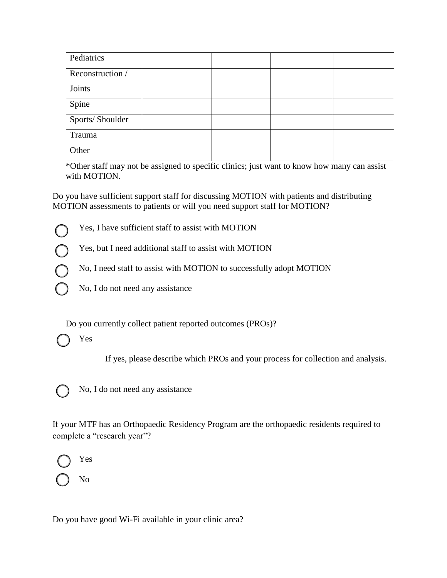| Pediatrics       |  |  |
|------------------|--|--|
| Reconstruction / |  |  |
| Joints           |  |  |
| Spine            |  |  |
| Sports/Shoulder  |  |  |
| Trauma           |  |  |
| Other            |  |  |

\*Other staff may not be assigned to specific clinics; just want to know how many can assist with MOTION.

Do you have sufficient support staff for discussing MOTION with patients and distributing MOTION assessments to patients or will you need support staff for MOTION?

- Yes, I have sufficient staff to assist with MOTION
- Yes, but I need additional staff to assist with MOTION
- No, I need staff to assist with MOTION to successfully adopt MOTION
- No, I do not need any assistance

Do you currently collect patient reported outcomes (PROs)?

Yes

If yes, please describe which PROs and your process for collection and analysis.



No, I do not need any assistance

If your MTF has an Orthopaedic Residency Program are the orthopaedic residents required to complete a "research year"?



No

Do you have good Wi-Fi available in your clinic area?